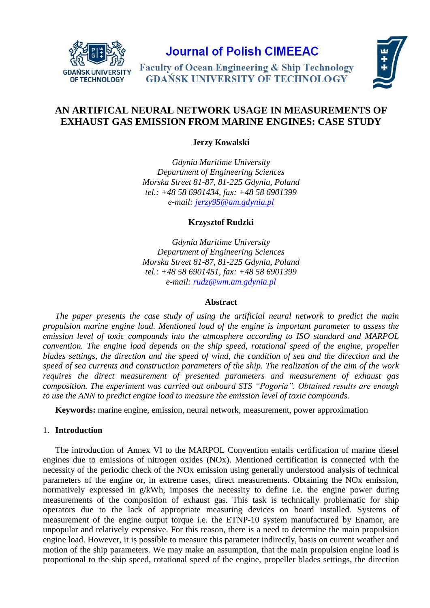

**Journal of Polish CIMEEAC** 

**Faculty of Ocean Engineering & Ship Technology GDAŃSK UNIVERSITY OF TECHNOLOGY** 



# **AN ARTIFICAL NEURAL NETWORK USAGE IN MEASUREMENTS OF EXHAUST GAS EMISSION FROM MARINE ENGINES: CASE STUDY**

**Jerzy Kowalski**

*Gdynia Maritime University Department of Engineering Sciences Morska Street 81-87, 81-225 Gdynia, Poland tel.: +48 58 6901434, fax: +48 58 6901399 e-mail: [jerzy95@am.gdynia.pl](file:///C:/Users/Krzysiek/Documents/konferencje/jerzy95@am.gdynia.pl)*

**Krzysztof Rudzki**

*Gdynia Maritime University Department of Engineering Sciences Morska Street 81-87, 81-225 Gdynia, Poland tel.: +48 58 6901451, fax: +48 58 6901399 e-mail: [rudz@wm.am.gdynia.pl](mailto:rudz@wm.am.gdynia.pl)*

# **Abstract**

*The paper presents the case study of using the artificial neural network to predict the main propulsion marine engine load. Mentioned load of the engine is important parameter to assess the emission level of toxic compounds into the atmosphere according to ISO standard and MARPOL convention. The engine load depends on the ship speed, rotational speed of the engine, propeller blades settings, the direction and the speed of wind, the condition of sea and the direction and the speed of sea currents and construction parameters of the ship. The realization of the aim of the work requires the direct measurement of presented parameters and measurement of exhaust gas composition. The experiment was carried out onboard STS "Pogoria". Obtained results are enough to use the ANN to predict engine load to measure the emission level of toxic compounds.* 

**Keywords:** marine engine, emission, neural network, measurement, power approximation

# 1. **Introduction**

The introduction of Annex VI to the MARPOL Convention entails certification of marine diesel engines due to emissions of nitrogen oxides (NOx). Mentioned certification is connected with the necessity of the periodic check of the NOx emission using generally understood analysis of technical parameters of the engine or, in extreme cases, direct measurements. Obtaining the NOx emission, normatively expressed in g/kWh, imposes the necessity to define i.e. the engine power during measurements of the composition of exhaust gas. This task is technically problematic for ship operators due to the lack of appropriate measuring devices on board installed. Systems of measurement of the engine output torque i.e. the ETNP-10 system manufactured by Enamor, are unpopular and relatively expensive. For this reason, there is a need to determine the main propulsion engine load. However, it is possible to measure this parameter indirectly, basis on current weather and motion of the ship parameters. We may make an assumption, that the main propulsion engine load is proportional to the ship speed, rotational speed of the engine, propeller blades settings, the direction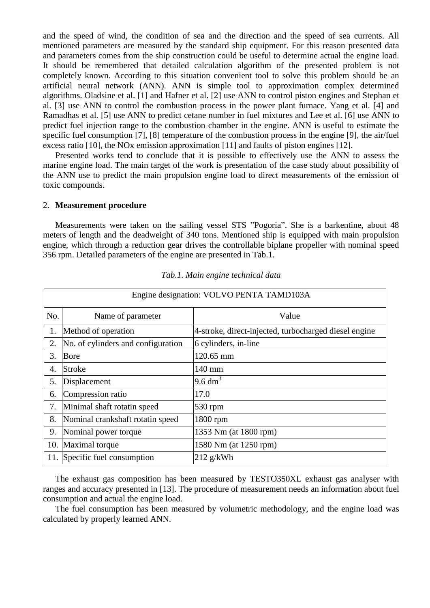and the speed of wind, the condition of sea and the direction and the speed of sea currents. All mentioned parameters are measured by the standard ship equipment. For this reason presented data and parameters comes from the ship construction could be useful to determine actual the engine load. It should be remembered that detailed calculation algorithm of the presented problem is not completely known. According to this situation convenient tool to solve this problem should be an artificial neural network (ANN). ANN is simple tool to approximation complex determined algorithms. Oladsine et al. [\[1\]](#page-6-0) and Hafner et al. [\[2\]](#page-6-1) use ANN to control piston engines and Stephan et al. [\[3\]](#page-6-2) use ANN to control the combustion process in the power plant furnace. Yang et al. [\[4\]](#page-6-3) and Ramadhas et al. [\[5\]](#page-6-4) use ANN to predict cetane number in fuel mixtures and Lee et al. [\[6\]](#page-6-5) use ANN to predict fuel injection range to the combustion chamber in the engine. ANN is useful to estimate the specific fuel consumption [\[7\],](#page-6-6) [\[8\]](#page-6-7) temperature of the combustion process in the engine [\[9\],](#page-6-8) the air/fuel excess ratio [\[10\],](#page-6-9) the NOx emission approximation [\[11\]](#page-6-10) and faults of piston engines [\[12\].](#page-6-11)

Presented works tend to conclude that it is possible to effectively use the ANN to assess the marine engine load. The main target of the work is presentation of the case study about possibility of the ANN use to predict the main propulsion engine load to direct measurements of the emission of toxic compounds.

# 2. **Measurement procedure**

Measurements were taken on the sailing vessel STS "Pogoria". She is a barkentine, about 48 meters of length and the deadweight of 340 tons. Mentioned ship is equipped with main propulsion engine, which through a reduction gear drives the controllable biplane propeller with nominal speed 356 rpm. Detailed parameters of the engine are presented in Tab.1.

| Engine designation: VOLVO PENTA TAMD103A |                                    |                                                       |  |
|------------------------------------------|------------------------------------|-------------------------------------------------------|--|
| No.                                      | Name of parameter                  | Value                                                 |  |
| 1.                                       | Method of operation                | 4-stroke, direct-injected, turbocharged diesel engine |  |
| 2.                                       | No. of cylinders and configuration | 6 cylinders, in-line                                  |  |
| 3.                                       | Bore                               | 120.65 mm                                             |  |
| 4.                                       | Stroke                             | 140 mm                                                |  |
| 5.                                       | Displacement                       | $9.6 \text{ dm}^3$                                    |  |
| 6.                                       | Compression ratio                  | 17.0                                                  |  |
| 7.                                       | Minimal shaft rotatin speed        | 530 rpm                                               |  |
| 8.                                       | Nominal crankshaft rotatin speed   | 1800 rpm                                              |  |
| 9.                                       | Nominal power torque               | 1353 Nm (at 1800 rpm)                                 |  |
| 10.                                      | Maximal torque                     | 1580 Nm (at 1250 rpm)                                 |  |
|                                          | 11. Specific fuel consumption      | $212$ g/kWh                                           |  |

*Tab.1. Main engine technical data*

The exhaust gas composition has been measured by TESTO350XL exhaust gas analyser with ranges and accuracy presented in [\[13\].](#page-6-12) The procedure of measurement needs an information about fuel consumption and actual the engine load.

The fuel consumption has been measured by volumetric methodology, and the engine load was calculated by properly learned ANN.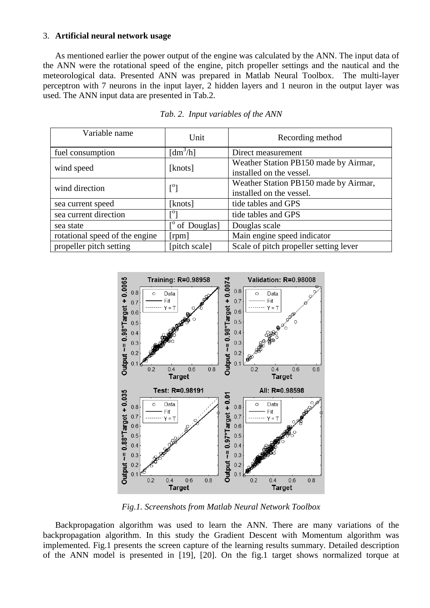## 3. **Artificial neural network usage**

As mentioned earlier the power output of the engine was calculated by the ANN. The input data of the ANN were the rotational speed of the engine, pitch propeller settings and the nautical and the meteorological data. Presented ANN was prepared in Matlab Neural Toolbox. The multi-layer perceptron with 7 neurons in the input layer, 2 hidden layers and 1 neuron in the output layer was used. The ANN input data are presented in Tab.2.

| Variable name                  | Unit                                | Recording method                       |
|--------------------------------|-------------------------------------|----------------------------------------|
| fuel consumption               | $\left[\text{dm}^3/\text{h}\right]$ | Direct measurement                     |
| wind speed                     | [knots]                             | Weather Station PB150 made by Airmar,  |
|                                |                                     | installed on the vessel.               |
| wind direction                 | $\lceil^{\circ} \rceil$             | Weather Station PB150 made by Airmar,  |
|                                |                                     | installed on the vessel.               |
| sea current speed              | [knots]                             | tide tables and GPS                    |
| sea current direction          | гОт                                 | tide tables and GPS                    |
| sea state                      | of Douglas]                         | Douglas scale                          |
| rotational speed of the engine | [ <i>rpm</i> ]                      | Main engine speed indicator            |
| propeller pitch setting        | [pitch scale]                       | Scale of pitch propeller setting lever |

#### *Tab. 2. Input variables of the ANN*



*Fig.1. Screenshots from Matlab Neural Network Toolbox*

Backpropagation algorithm was used to learn the ANN. There are many variations of the backpropagation algorithm. In this study the Gradient Descent with Momentum algorithm was implemented. Fig.1 presents the screen capture of the learning results summary. Detailed description of the ANN model is presented in [\[19\],](#page-6-13) [\[20\].](#page-6-14) On the fig.1 target shows normalized torque at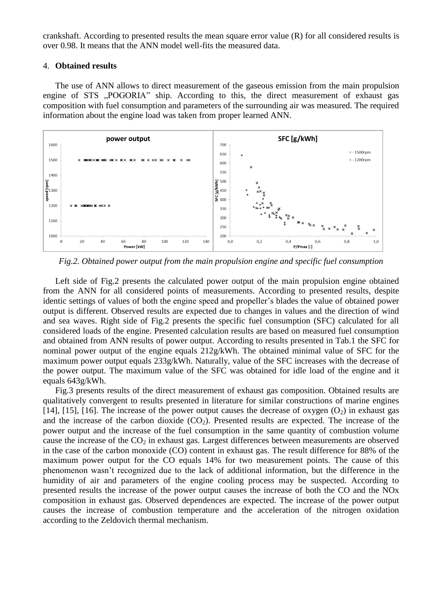crankshaft. According to presented results the mean square error value (R) for all considered results is over 0.98. It means that the ANN model well-fits the measured data.

# 4. **Obtained results**

The use of ANN allows to direct measurement of the gaseous emission from the main propulsion engine of STS "POGORIA" ship. According to this, the direct measurement of exhaust gas composition with fuel consumption and parameters of the surrounding air was measured. The required information about the engine load was taken from proper learned ANN.



*Fig.2. Obtained power output from the main propulsion engine and specific fuel consumption*

Left side of Fig.2 presents the calculated power output of the main propulsion engine obtained from the ANN for all considered points of measurements. According to presented results, despite identic settings of values of both the engine speed and propeller's blades the value of obtained power output is different. Observed results are expected due to changes in values and the direction of wind and sea waves. Right side of Fig.2 presents the specific fuel consumption (SFC) calculated for all considered loads of the engine. Presented calculation results are based on measured fuel consumption and obtained from ANN results of power output. According to results presented in Tab.1 the SFC for nominal power output of the engine equals 212g/kWh. The obtained minimal value of SFC for the maximum power output equals 233g/kWh. Naturally, value of the SFC increases with the decrease of the power output. The maximum value of the SFC was obtained for idle load of the engine and it equals 643g/kWh.

Fig.3 presents results of the direct measurement of exhaust gas composition. Obtained results are qualitatively convergent to results presented in literature for similar constructions of marine engines [\[14\],](#page-6-15) [\[15\],](#page-6-16) [\[16\].](#page-6-17) The increase of the power output causes the decrease of oxygen  $(O_2)$  in exhaust gas and the increase of the carbon dioxide  $(CO_2)$ . Presented results are expected. The increase of the power output and the increase of the fuel consumption in the same quantity of combustion volume cause the increase of the  $CO<sub>2</sub>$  in exhaust gas. Largest differences between measurements are observed in the case of the carbon monoxide (CO) content in exhaust gas. The result difference for 88% of the maximum power output for the CO equals 14% for two measurement points. The cause of this phenomenon wasn't recognized due to the lack of additional information, but the difference in the humidity of air and parameters of the engine cooling process may be suspected. According to presented results the increase of the power output causes the increase of both the CO and the NOx composition in exhaust gas. Observed dependences are expected. The increase of the power output causes the increase of combustion temperature and the acceleration of the nitrogen oxidation according to the Zeldovich thermal mechanism.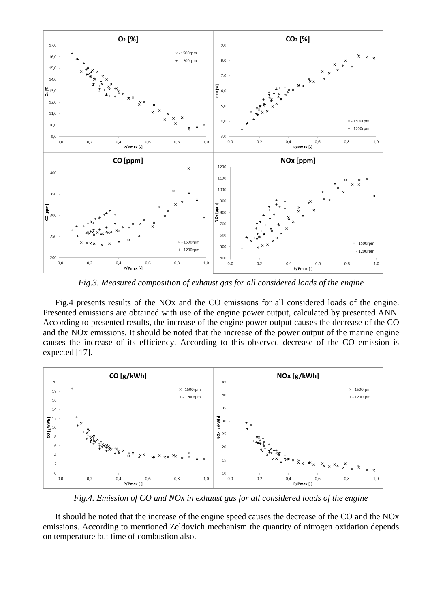

*Fig.3. Measured composition of exhaust gas for all considered loads of the engine*

Fig.4 presents results of the NOx and the CO emissions for all considered loads of the engine. Presented emissions are obtained with use of the engine power output, calculated by presented ANN. According to presented results, the increase of the engine power output causes the decrease of the CO and the NOx emissions. It should be noted that the increase of the power output of the marine engine causes the increase of its efficiency. According to this observed decrease of the CO emission is expected [\[17\].](#page-6-18)



*Fig.4. Emission of CO and NOx in exhaust gas for all considered loads of the engine*

It should be noted that the increase of the engine speed causes the decrease of the CO and the NOx emissions. According to mentioned Zeldovich mechanism the quantity of nitrogen oxidation depends on temperature but time of combustion also.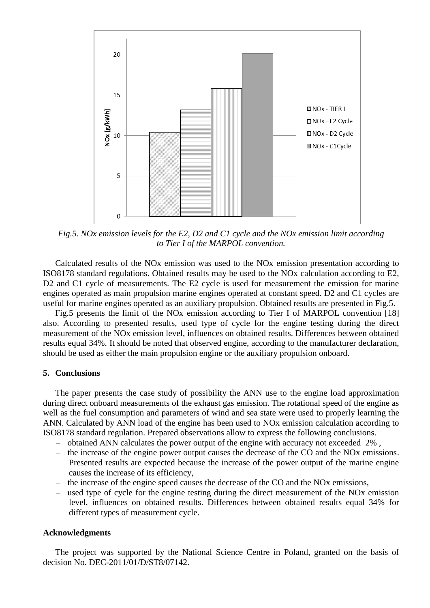

*Fig.5. NOx emission levels for the E2, D2 and C1 cycle and the NOx emission limit according to Tier I of the MARPOL convention.*

Calculated results of the NOx emission was used to the NOx emission presentation according to ISO8178 standard regulations. Obtained results may be used to the NOx calculation according to E2, D2 and C1 cycle of measurements. The E2 cycle is used for measurement the emission for marine engines operated as main propulsion marine engines operated at constant speed. D2 and C1 cycles are useful for marine engines operated as an auxiliary propulsion. Obtained results are presented in Fig.5.

Fig.5 presents the limit of the NOx emission according to Tier I of MARPOL convention [\[18\]](#page-6-19) also. According to presented results, used type of cycle for the engine testing during the direct measurement of the NOx emission level, influences on obtained results. Differences between obtained results equal 34%. It should be noted that observed engine, according to the manufacturer declaration, should be used as either the main propulsion engine or the auxiliary propulsion onboard.

#### **5. Conclusions**

The paper presents the case study of possibility the ANN use to the engine load approximation during direct onboard measurements of the exhaust gas emission. The rotational speed of the engine as well as the fuel consumption and parameters of wind and sea state were used to properly learning the ANN. Calculated by ANN load of the engine has been used to NOx emission calculation according to ISO8178 standard regulation. Prepared observations allow to express the following conclusions.

- obtained ANN calculates the power output of the engine with accuracy not exceeded 2% ,
- the increase of the engine power output causes the decrease of the CO and the NOx emissions. Presented results are expected because the increase of the power output of the marine engine causes the increase of its efficiency,
- the increase of the engine speed causes the decrease of the CO and the NOx emissions,
- used type of cycle for the engine testing during the direct measurement of the NOx emission level, influences on obtained results. Differences between obtained results equal 34% for different types of measurement cycle.

## **Acknowledgments**

The project was supported by the National Science Centre in Poland, granted on the basis of decision No. DEC-2011/01/D/ST8/07142.